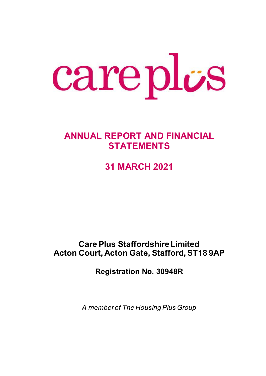# careplus

# **ANNUAL REPORT AND FINANCIAL STATEMENTS**

**31 MARCH 2021**

**Care Plus Staffordshire Limited Acton Court, Acton Gate, Stafford, ST18 9AP**

**Registration No. 30948R**

*A member of The Housing Plus Group*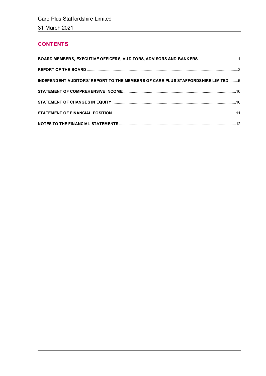Care Plus Staffordshire Limited 31 March 2021

# **CONTENTS**

<span id="page-1-0"></span>

| BOARD MEMBERS, EXECUTIVE OFFICERS, AUDITORS, ADVISORS AND BANKERS  1             |  |
|----------------------------------------------------------------------------------|--|
|                                                                                  |  |
| INDEPENDENT AUDITORS' REPORT TO THE MEMBERS OF CARE PLUS STAFFORDSHIRE LIMITED 5 |  |
|                                                                                  |  |
|                                                                                  |  |
|                                                                                  |  |
|                                                                                  |  |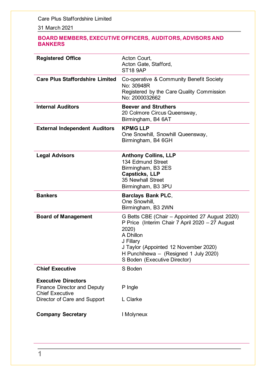31 March 2021

# **BOARD MEMBERS, EXECUTIVE OFFICERS, AUDITORS, ADVISORS AND BANKERS**

| <b>Registered Office</b>                                                                                                   | Acton Court,<br>Acton Gate, Stafford,<br><b>ST18 9AP</b>                                                                                                                                                                                               |
|----------------------------------------------------------------------------------------------------------------------------|--------------------------------------------------------------------------------------------------------------------------------------------------------------------------------------------------------------------------------------------------------|
| <b>Care Plus Staffordshire Limited</b>                                                                                     | Co-operative & Community Benefit Society<br>No: 30948R<br>Registered by the Care Quality Commission<br>No: 2000032662                                                                                                                                  |
| <b>Internal Auditors</b>                                                                                                   | <b>Beever and Struthers</b><br>20 Colmore Circus Queensway,<br>Birmingham, B4 6AT                                                                                                                                                                      |
| <b>External Independent Auditors</b>                                                                                       | <b>KPMG LLP</b><br>One Snowhill, Snowhill Queensway,<br>Birmingham, B4 6GH                                                                                                                                                                             |
| <b>Legal Advisors</b>                                                                                                      | <b>Anthony Collins, LLP</b><br>134 Edmund Street<br>Birmingham, B3 2ES<br><b>Capsticks, LLP</b><br><b>35 Newhall Street</b><br>Birmingham, B3 3PU                                                                                                      |
|                                                                                                                            |                                                                                                                                                                                                                                                        |
| <b>Bankers</b>                                                                                                             | <b>Barclays Bank PLC,</b><br>One Snowhill,<br>Birmingham, B3 2WN                                                                                                                                                                                       |
| <b>Board of Management</b>                                                                                                 | G Betts CBE (Chair – Appointed 27 August 2020)<br>P Price (Interim Chair 7 April 2020 - 27 August<br>2020)<br>A Dhillon<br>J Fillary<br>J Taylor (Appointed 12 November 2020)<br>H Punchihewa - (Resigned 1 July 2020)<br>S Boden (Executive Director) |
| <b>Chief Executive</b>                                                                                                     | S Boden                                                                                                                                                                                                                                                |
| <b>Executive Directors</b><br><b>Finance Director and Deputy</b><br><b>Chief Executive</b><br>Director of Care and Support | P Ingle<br>L Clarke                                                                                                                                                                                                                                    |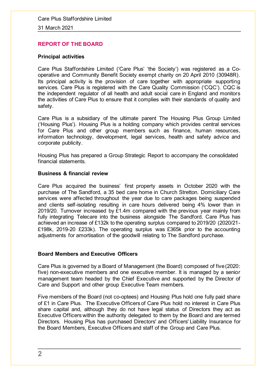### <span id="page-3-0"></span>**REPORT OF THE BOARD**

### **Principal activities**

Care Plus Staffordshire Limited ('Care Plus' 'the Society') was registered as a Cooperative and Community Benefit Society exempt charity on 20 April 2010 (30948R). Its principal activity is the provision of care together with appropriate supporting services. Care Plus is registered with the Care Quality Commission ('CQC'). CQC is the independent regulator of all health and adult social care in England and monitors the activities of Care Plus to ensure that it complies with their standards of quality and safety.

Care Plus is a subsidiary of the ultimate parent The Housing Plus Group Limited ('Housing Plus'). Housing Plus is a holding company which provides central services for Care Plus and other group members such as finance, human resources, information technology, development, legal services, health and safety advice and corporate publicity.

Housing Plus has prepared a Group Strategic Report to accompany the consolidated financial statements.

### **Business & financial review**

Care Plus acquired the business' first property assets in October 2020 with the purchase of The Sandford, a 35 bed care home in Church Stretton. Domiciliary Care services were affected throughout the year due to care packages being suspended and clients self-isolating resulting in care hours delivered being 4% lower than in 2019/20. Turnover increased by £1.4m compared with the previous year mainly from fully integrating Telecare into the business alongside The Sandford. Care Plus has achieved an increase of £132k to the operating surplus compared to 2019/20 (2020/21- £198k, 2019-20 £233k). The operating surplus was £365k prior to the accounting adjustments for amortisation of the goodwill relating to The Sandford purchase.

### **Board Members and Executive Officers**

Care Plus is governed by a Board of Management (the Board) composed of five (2020: five) non-executive members and one executive member. It is managed by a senior management team headed by the Chief Executive and supported by the Director of Care and Support and other group Executive Team members.

Five members of the Board (not co-optees) and Housing Plus hold one fully paid share of £1 in Care Plus. The Executive Officers of Care Plus hold no interest in Care Plus share capital and, although they do not have legal status of Directors they act as Executive Officers within the authority delegated to them by the Board and are termed Directors. Housing Plus has purchased Directors' and Officers' Liability Insurance for the Board Members, Executive Officers and staff of the Group and Care Plus.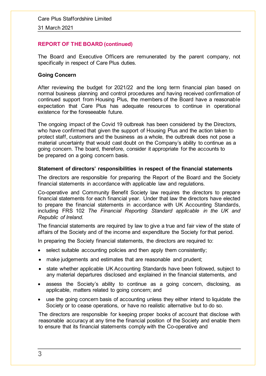### **REPORT OF THE BOARD (continued)**

The Board and Executive Officers are remunerated by the parent company, not specifically in respect of Care Plus duties.

### **Going Concern**

After reviewing the budget for 2021/22 and the long term financial plan based on normal business planning and control procedures and having received confirmation of continued support from Housing Plus, the members of the Board have a reasonable expectation that Care Plus has adequate resources to continue in operational existence for the foreseeable future.

The ongoing impact of the Covid 19 outbreak has been considered by the Directors, who have confirmed that given the support of Housing Plus and the action taken to protect staff, customers and the business as a whole, the outbreak does not pose a material uncertainty that would cast doubt on the Company's ability to continue as a going concern. The board, therefore, consider it appropriate for the accounts to be prepared on a going concern basis.

### **Statement of directors' responsibilities in respect of the financial statements**

The directors are responsible for preparing the Report of the Board and the Society financial statements in accordance with applicable law and regulations.

Co-operative and Community Benefit Society law requires the directors to prepare financial statements for each financial year. Under that law the directors have elected to prepare the financial statements in accordance with UK Accounting Standards, including FRS 102 *The Financial Reporting Standard applicable in the UK and Republic of Ireland*.

The financial statements are required by law to give a true and fair view of the state of affairs of the Society and of the income and expenditure the Society for that period.

In preparing the Society financial statements, the directors are required to:

- select suitable accounting policies and then apply them consistently;
- make judgements and estimates that are reasonable and prudent;
- state whether applicable UK Accounting Standards have been followed, subject to any material departures disclosed and explained in the financial statements, and
- assess the Society's ability to continue as a going concern, disclosing, as applicable, matters related to going concern; and
- use the going concern basis of accounting unless they either intend to liquidate the Society or to cease operations, or have no realistic alternative but to do so.

The directors are responsible for keeping proper books of account that disclose with reasonable accuracy at any time the financial position of the Society and enable them to ensure that its financial statements comply with the Co-operative and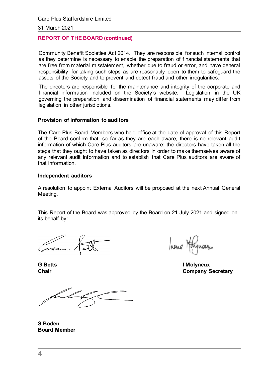31 March 2021

### **REPORT OF THE BOARD (continued)**

Community Benefit Societies Act 2014. They are responsible for such internal control as they determine is necessary to enable the preparation of financial statements that are free from material misstatement, whether due to fraud or error, and have general responsibility for taking such steps as are reasonably open to them to safeguard the assets of the Society and to prevent and detect fraud and other irregularities.

The directors are responsible for the maintenance and integrity of the corporate and financial information included on the Society's website. Legislation in the UK governing the preparation and dissemination of financial statements may differ from legislation in other jurisdictions.

### **Provision of information to auditors**

The Care Plus Board Members who held office at the date of approval of this Report of the Board confirm that, so far as they are each aware, there is no relevant audit information of which Care Plus auditors are unaware; the directors have taken all the steps that they ought to have taken as directors in order to make themselves aware of any relevant audit information and to establish that Care Plus auditors are aware of that information.

### **Independent auditors**

A resolution to appoint External Auditors will be proposed at the next Annual General Meeting.

This Report of the Board was approved by the Board on 21 July 2021 and signed on its behalf by:

France Kell

hene Holynois

**G Betts I Molyneux Chair Company Secretary**

**S Boden Board Member**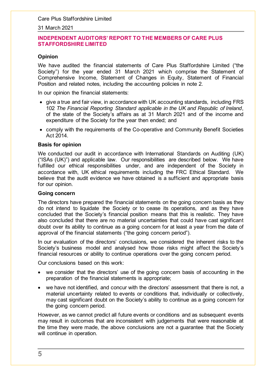31 March 2021

### **INDEPENDENT AUDITORS' REPORT TO THE MEMBERS OF CARE PLUS STAFFORDSHIRE LIMITED**

### **Opinion**

We have audited the financial statements of Care Plus Staffordshire Limited ("the Society") for the year ended 31 March 2021 which comprise the Statement of Comprehensive Income, Statement of Changes in Equity, Statement of Financial Position and related notes, including the accounting policies in note 2.

In our opinion the financial statements:

- give a true and fair view, in accordance with UK accounting standards, including FRS 102 *The Financial Reporting Standard applicable in the UK and Republic of Ireland*, of the state of the Society's affairs as at 31 March 2021 and of the income and expenditure of the Society for the year then ended; and
- comply with the requirements of the Co-operative and Community Benefit Societies Act 2014.

### **Basis for opinion**

We conducted our audit in accordance with International Standards on Auditing (UK) ("ISAs (UK)") and applicable law. Our responsibilities are described below. We have fulfilled our ethical responsibilities under, and are independent of the Society in accordance with, UK ethical requirements including the FRC Ethical Standard. We believe that the audit evidence we have obtained is a sufficient and appropriate basis for our opinion.

### **Going concern**

The directors have prepared the financial statements on the going concern basis as they do not intend to liquidate the Society or to cease its operations, and as they have concluded that the Society's financial position means that this is realistic. They have also concluded that there are no material uncertainties that could have cast significant doubt over its ability to continue as a going concern for at least a year from the date of approval of the financial statements ("the going concern period").

In our evaluation of the directors' conclusions, we considered the inherent risks to the Society's business model and analysed how those risks might affect the Society's financial resources or ability to continue operations over the going concern period.

Our conclusions based on this work:

- we consider that the directors' use of the going concern basis of accounting in the preparation of the financial statements is appropriate;
- we have not identified, and concur with the directors' assessment that there is not, a material uncertainty related to events or conditions that, individually or collectively, may cast significant doubt on the Society's ability to continue as a going concern for the going concern period.

However, as we cannot predict all future events or conditions and as subsequent events may result in outcomes that are inconsistent with judgements that were reasonable at the time they were made, the above conclusions are not a guarantee that the Society will continue in operation.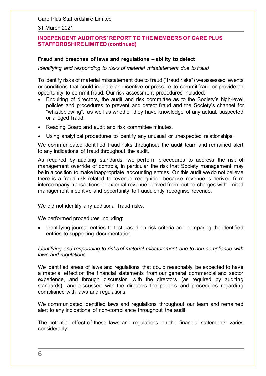31 March 2021

### **INDEPENDENT AUDITORS' REPORT TO THE MEMBERS OF CARE PLUS STAFFORDSHIRE LIMITED (continued)**

### **Fraud and breaches of laws and regulations – ability to detect**

*Identifying and responding to risks of material misstatement due to fraud*

To identify risks of material misstatement due to fraud ("fraud risks") we assessed events or conditions that could indicate an incentive or pressure to commit fraud or provide an opportunity to commit fraud. Our risk assessment procedures included:

- Enquiring of directors, the audit and risk committee as to the Society's high-level policies and procedures to prevent and detect fraud and the Society's channel for "whistleblowing", as well as whether they have knowledge of any actual, suspected or alleged fraud.
- Reading Board and audit and risk committee minutes.
- Using analytical procedures to identify any unusual or unexpected relationships.

We communicated identified fraud risks throughout the audit team and remained alert to any indications of fraud throughout the audit.

As required by auditing standards, we perform procedures to address the risk of management override of controls, in particular the risk that Society management may be in a position to make inappropriate accounting entries. On this audit we do not believe there is a fraud risk related to revenue recognition because revenue is derived from intercompany transactions or external revenue derived from routine charges with limited management incentive and opportunity to fraudulently recognise revenue.

We did not identify any additional fraud risks.

We performed procedures including:

• Identifying journal entries to test based on risk criteria and comparing the identified entries to supporting documentation.

*Identifying and responding to risks of material misstatement due to non-compliance with laws and regulations*

We identified areas of laws and regulations that could reasonably be expected to have a material effect on the financial statements from our general commercial and sector experience, and through discussion with the directors (as required by auditing standards), and discussed with the directors the policies and procedures regarding compliance with laws and regulations.

We communicated identified laws and regulations throughout our team and remained alert to any indications of non-compliance throughout the audit.

The potential effect of these laws and regulations on the financial statements varies considerably.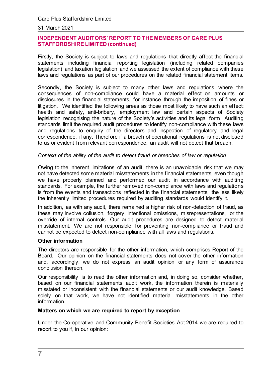31 March 2021

### **INDEPENDENT AUDITORS' REPORT TO THE MEMBERS OF CARE PLUS STAFFORDSHIRE LIMITED (continued)**

Firstly, the Society is subject to laws and regulations that directly affect the financial statements including financial reporting legislation (including related companies legislation) and taxation legislation and we assessed the extent of compliance with these laws and regulations as part of our procedures on the related financial statement items.

Secondly, the Society is subject to many other laws and regulations where the consequences of non-compliance could have a material effect on amounts or disclosures in the financial statements, for instance through the imposition of fines or litigation. We identified the following areas as those most likely to have such an effect: health and safety, anti-bribery, employment law and certain aspects of Society legislation recognising the nature of the Society's activities and its legal form. Auditing standards limit the required audit procedures to identify non-compliance with these laws and regulations to enquiry of the directors and inspection of regulatory and legal correspondence, if any. Therefore if a breach of operational regulations is not disclosed to us or evident from relevant correspondence, an audit will not detect that breach.

### *Context of the ability of the audit to detect fraud or breaches of law or regulation*

Owing to the inherent limitations of an audit, there is an unavoidable risk that we may not have detected some material misstatements in the financial statements, even though we have properly planned and performed our audit in accordance with auditing standards. For example, the further removed non-compliance with laws and regulations is from the events and transactions reflected in the financial statements, the less likely the inherently limited procedures required by auditing standards would identify it.

In addition, as with any audit, there remained a higher risk of non-detection of fraud, as these may involve collusion, forgery, intentional omissions, misrepresentations, or the override of internal controls. Our audit procedures are designed to detect material misstatement. We are not responsible for preventing non-compliance or fraud and cannot be expected to detect non-compliance with all laws and regulations.

### **Other information**

The directors are responsible for the other information, which comprises Report of the Board. Our opinion on the financial statements does not cover the other information and, accordingly, we do not express an audit opinion or any form of assurance conclusion thereon.

Our responsibility is to read the other information and, in doing so, consider whether, based on our financial statements audit work, the information therein is materially misstated or inconsistent with the financial statements or our audit knowledge. Based solely on that work, we have not identified material misstatements in the other information.

### **Matters on which we are required to report by exception**

Under the Co-operative and Community Benefit Societies Act 2014 we are required to report to you if, in our opinion: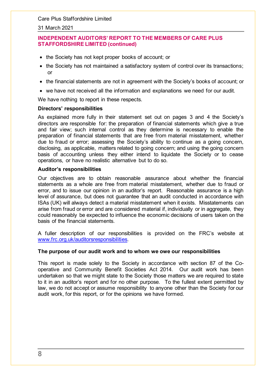31 March 2021

### **INDEPENDENT AUDITORS' REPORT TO THE MEMBERS OF CARE PLUS STAFFORDSHIRE LIMITED (continued)**

- the Society has not kept proper books of account; or
- the Society has not maintained a satisfactory system of control over its transactions; or
- the financial statements are not in agreement with the Society's books of account; or
- we have not received all the information and explanations we need for our audit.

We have nothing to report in these respects.

### **Directors' responsibilities**

As explained more fully in their statement set out on pages 3 and 4 the Society's directors are responsible for: the preparation of financial statements which give a true and fair view; such internal control as they determine is necessary to enable the preparation of financial statements that are free from material misstatement, whether due to fraud or error; assessing the Society's ability to continue as a going concern, disclosing, as applicable, matters related to going concern; and using the going concern basis of accounting unless they either intend to liquidate the Society or to cease operations, or have no realistic alternative but to do so.

### **Auditor's responsibilities**

Our objectives are to obtain reasonable assurance about whether the financial statements as a whole are free from material misstatement, whether due to fraud or error, and to issue our opinion in an auditor's report. Reasonable assurance is a high level of assurance, but does not guarantee that an audit conducted in accordance with ISAs (UK) will always detect a material misstatement when it exists. Misstatements can arise from fraud or error and are considered material if, individually or in aggregate, they could reasonably be expected to influence the economic decisions of users taken on the basis of the financial statements.

A fuller description of our responsibilities is provided on the FRC's website at [www.frc.org.uk/auditorsresponsibilities.](http://www.frc.org.uk/auditorsresponsibilities) 

### **The purpose of our audit work and to whom we owe our responsibilities**

This report is made solely to the Society in accordance with section 87 of the Cooperative and Community Benefit Societies Act 2014. Our audit work has been undertaken so that we might state to the Society those matters we are required to state to it in an auditor's report and for no other purpose. To the fullest extent permitted by law, we do not accept or assume responsibility to anyone other than the Society for our audit work, for this report, or for the opinions we have formed.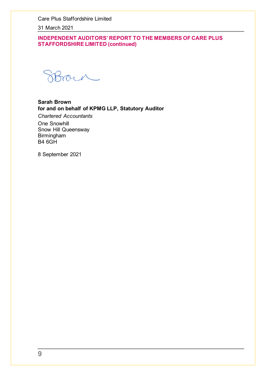31 March 2021

**INDEPENDENT AUDITORS' REPORT TO THE MEMBERS OF CARE PLUS STAFFORDSHIRE LIMITED (continued)**

Brown

# **Sarah Brown for and on behalf of KPMG LLP, Statutory Auditor**

*Chartered Accountants* 

One Snowhill Snow Hill Queensway Birmingham B4 6GH

<span id="page-10-0"></span>8 September 2021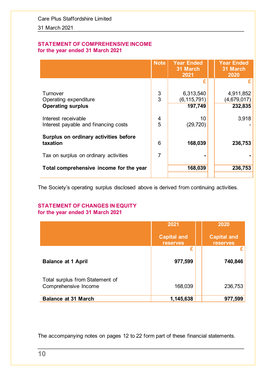### **STATEMENT OF COMPREHENSIVE INCOME for the year ended 31 March 2021**

|                                                             | <b>Note</b>    | <b>Year Ended</b><br>31 March<br>2021 | <b>Year Ended</b><br><b>31 March</b><br>2020 |
|-------------------------------------------------------------|----------------|---------------------------------------|----------------------------------------------|
| Turnover<br>Operating expenditure                           | 3<br>3         | 6,313,540<br>(6, 115, 791)            | £<br>4,911,852<br>(4,679,017)                |
| <b>Operating surplus</b>                                    |                | 197,749                               | 232,835                                      |
| Interest receivable<br>Interest payable and financing costs | 4<br>5         | 10<br>(29, 720)                       | 3,918                                        |
| Surplus on ordinary activities before<br>taxation           | 6              | 168,039                               | 236,753                                      |
| Tax on surplus on ordinary activities                       | $\overline{7}$ |                                       |                                              |
| Total comprehensive income for the year                     |                | 168,039                               | 236,753                                      |
|                                                             |                |                                       |                                              |

<span id="page-11-0"></span>The Society's operating surplus disclosed above is derived from continuing activities.

### **STATEMENT OF CHANGES IN EQUITY for the year ended 31 March 2021**

|                                                         | 2021                                  | 2020                                  |
|---------------------------------------------------------|---------------------------------------|---------------------------------------|
|                                                         | <b>Capital and</b><br><b>reserves</b> | <b>Capital and</b><br><b>reserves</b> |
|                                                         | £                                     | £                                     |
| <b>Balance at 1 April</b>                               | 977,599                               | 740,846                               |
| Total surplus from Statement of<br>Comprehensive Income | 168,039                               | 236,753                               |
| <b>Balance at 31 March</b>                              | 1,145,638                             | 977,599                               |

<span id="page-11-1"></span>The accompanying notes on pages 12 to 22 form part of these financial statements.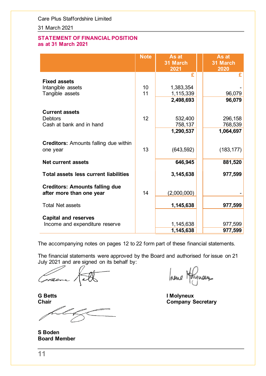31 March 2021

### **STATEMENT OF FINANCIAL POSITION as at 31 March 2021**

| <b>31 March</b><br><b>31 March</b><br>2021<br>2020<br>£<br>£<br><b>Fixed assets</b><br>10<br>Intangible assets<br>1,383,354<br>11<br>96,079<br>Tangible assets<br>1,115,339<br>2,498,693<br>96,079<br><b>Current assets</b><br>12<br>296,158<br><b>Debtors</b><br>532,400<br>768,539<br>Cash at bank and in hand<br>758,137<br>1,290,537<br>1,064,697<br><b>Creditors:</b> Amounts falling due within<br>13<br>(643, 592)<br>(183, 177)<br>one year<br>646,945<br>881,520<br><b>Net current assets</b><br>3,145,638<br>977,599<br><b>Total assets less current liabilities</b><br><b>Creditors: Amounts falling due</b><br>14<br>(2,000,000)<br>after more than one year<br>1,145,638<br><b>Total Net assets</b><br>977,599 |                             | <b>Note</b> | As at | As at |
|-----------------------------------------------------------------------------------------------------------------------------------------------------------------------------------------------------------------------------------------------------------------------------------------------------------------------------------------------------------------------------------------------------------------------------------------------------------------------------------------------------------------------------------------------------------------------------------------------------------------------------------------------------------------------------------------------------------------------------|-----------------------------|-------------|-------|-------|
|                                                                                                                                                                                                                                                                                                                                                                                                                                                                                                                                                                                                                                                                                                                             |                             |             |       |       |
|                                                                                                                                                                                                                                                                                                                                                                                                                                                                                                                                                                                                                                                                                                                             |                             |             |       |       |
|                                                                                                                                                                                                                                                                                                                                                                                                                                                                                                                                                                                                                                                                                                                             |                             |             |       |       |
|                                                                                                                                                                                                                                                                                                                                                                                                                                                                                                                                                                                                                                                                                                                             |                             |             |       |       |
|                                                                                                                                                                                                                                                                                                                                                                                                                                                                                                                                                                                                                                                                                                                             |                             |             |       |       |
|                                                                                                                                                                                                                                                                                                                                                                                                                                                                                                                                                                                                                                                                                                                             |                             |             |       |       |
|                                                                                                                                                                                                                                                                                                                                                                                                                                                                                                                                                                                                                                                                                                                             |                             |             |       |       |
|                                                                                                                                                                                                                                                                                                                                                                                                                                                                                                                                                                                                                                                                                                                             |                             |             |       |       |
|                                                                                                                                                                                                                                                                                                                                                                                                                                                                                                                                                                                                                                                                                                                             |                             |             |       |       |
|                                                                                                                                                                                                                                                                                                                                                                                                                                                                                                                                                                                                                                                                                                                             |                             |             |       |       |
|                                                                                                                                                                                                                                                                                                                                                                                                                                                                                                                                                                                                                                                                                                                             |                             |             |       |       |
|                                                                                                                                                                                                                                                                                                                                                                                                                                                                                                                                                                                                                                                                                                                             |                             |             |       |       |
|                                                                                                                                                                                                                                                                                                                                                                                                                                                                                                                                                                                                                                                                                                                             |                             |             |       |       |
|                                                                                                                                                                                                                                                                                                                                                                                                                                                                                                                                                                                                                                                                                                                             |                             |             |       |       |
|                                                                                                                                                                                                                                                                                                                                                                                                                                                                                                                                                                                                                                                                                                                             |                             |             |       |       |
|                                                                                                                                                                                                                                                                                                                                                                                                                                                                                                                                                                                                                                                                                                                             |                             |             |       |       |
|                                                                                                                                                                                                                                                                                                                                                                                                                                                                                                                                                                                                                                                                                                                             |                             |             |       |       |
|                                                                                                                                                                                                                                                                                                                                                                                                                                                                                                                                                                                                                                                                                                                             |                             |             |       |       |
|                                                                                                                                                                                                                                                                                                                                                                                                                                                                                                                                                                                                                                                                                                                             |                             |             |       |       |
|                                                                                                                                                                                                                                                                                                                                                                                                                                                                                                                                                                                                                                                                                                                             |                             |             |       |       |
|                                                                                                                                                                                                                                                                                                                                                                                                                                                                                                                                                                                                                                                                                                                             |                             |             |       |       |
|                                                                                                                                                                                                                                                                                                                                                                                                                                                                                                                                                                                                                                                                                                                             |                             |             |       |       |
|                                                                                                                                                                                                                                                                                                                                                                                                                                                                                                                                                                                                                                                                                                                             |                             |             |       |       |
|                                                                                                                                                                                                                                                                                                                                                                                                                                                                                                                                                                                                                                                                                                                             |                             |             |       |       |
|                                                                                                                                                                                                                                                                                                                                                                                                                                                                                                                                                                                                                                                                                                                             |                             |             |       |       |
|                                                                                                                                                                                                                                                                                                                                                                                                                                                                                                                                                                                                                                                                                                                             |                             |             |       |       |
|                                                                                                                                                                                                                                                                                                                                                                                                                                                                                                                                                                                                                                                                                                                             | <b>Capital and reserves</b> |             |       |       |
| 1,145,638<br>977,599<br>Income and expenditure reserve                                                                                                                                                                                                                                                                                                                                                                                                                                                                                                                                                                                                                                                                      |                             |             |       |       |
| 1,145,638<br>977,599                                                                                                                                                                                                                                                                                                                                                                                                                                                                                                                                                                                                                                                                                                        |                             |             |       |       |

The accompanying notes on pages 12 to 22 form part of these financial statements.

The financial statements were approved by the Board and authorised for issue on 21 July 2021 and are signed on its behalf by:

'ae

<span id="page-12-0"></span>

hene

**G Betts I Molyneux Company Secretary** 

**S Boden Board Member**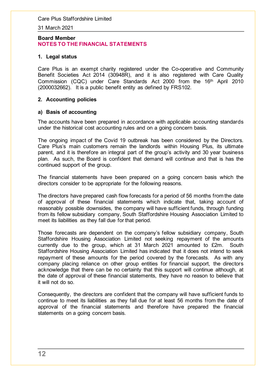31 March 2021

### **Board Member NOTES TO THE FINANCIAL STATEMENTS**

### **1. Legal status**

Care Plus is an exempt charity registered under the Co-operative and Community Benefit Societies Act 2014 (30948R), and it is also registered with Care Quality Commission (CQC) under Care Standards Act 2000 from the 16th April 2010 (2000032662). It is a public benefit entity as defined by FRS102.

### **2. Accounting policies**

### **a) Basis of accounting**

The accounts have been prepared in accordance with applicable accounting standards under the historical cost accounting rules and on a going concern basis.

The ongoing impact of the Covid 19 outbreak has been considered by the Directors. Care Plus's main customers remain the landlords within Housing Plus, its ultimate parent, and it is therefore an integral part of the group's activity and 30 year business plan. As such, the Board is confident that demand will continue and that is has the continued support of the group.

The financial statements have been prepared on a going concern basis which the directors consider to be appropriate for the following reasons.

The directors have prepared cash flow forecasts for a period of 56 months from the date of approval of these financial statements which indicate that, taking account of reasonably possible downsides, the company will have sufficient funds, through funding from its fellow subsidiary company, South Staffordshire Housing Association Limited to meet its liabilities as they fall due for that period.

Those forecasts are dependent on the company's fellow subsidiary company, South Staffordshire Housing Association Limited not seeking repayment of the amounts currently due to the group, which at 31 March 2021 amounted to £2m. South Staffordshire Housing Association Limited has indicated that it does not intend to seek repayment of these amounts for the period covered by the forecasts. As with any company placing reliance on other group entities for financial support, the directors acknowledge that there can be no certainty that this support will continue although, at the date of approval of these financial statements, they have no reason to believe that it will not do so.

Consequently, the directors are confident that the company will have sufficient funds to continue to meet its liabilities as they fall due for at least 56 months from the date of approval of the financial statements and therefore have prepared the financial statements on a going concern basis.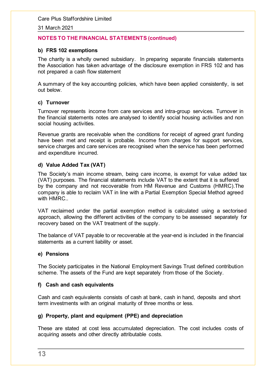### **NOTES TO THE FINANCIAL STATEMENTS (continued)**

### **b) FRS 102 exemptions**

The charity is a wholly owned subsidiary. In preparing separate financials statements the Association has taken advantage of the disclosure exemption in FRS 102 and has not prepared a cash flow statement

A summary of the key accounting policies, which have been applied consistently, is set out below.

### **c) Turnover**

Turnover represents income from care services and intra-group services. Turnover in the financial statements notes are analysed to identify social housing activities and non social housing activities.

Revenue grants are receivable when the conditions for receipt of agreed grant funding have been met and receipt is probable. Income from charges for support services, service charges and care services are recognised when the service has been performed and expenditure incurred.

### **d) Value Added Tax (VAT)**

The Society's main income stream, being care income, is exempt for value added tax (VAT) purposes. The financial statements include VAT to the extent that it is suffered by the company and not recoverable from HM Revenue and Customs (HMRC).The company is able to reclaim VAT in line with a Partial Exemption Special Method agreed with HMRC.

VAT reclaimed under the partial exemption method is calculated using a sectorised approach, allowing the different activities of the company to be assessed separately for recovery based on the VAT treatment of the supply.

The balance of VAT payable to or recoverable at the year-end is included in the financial statements as a current liability or asset.

### **e) Pensions**

The Society participates in the National Employment Savings Trust defined contribution scheme. The assets of the Fund are kept separately from those of the Society.

### **f) Cash and cash equivalents**

Cash and cash equivalents consists of cash at bank, cash in hand, deposits and short term investments with an original maturity of three months or less.

### **g) Property, plant and equipment (PPE) and depreciation**

These are stated at cost less accumulated depreciation. The cost includes costs of acquiring assets and other directly attributable costs.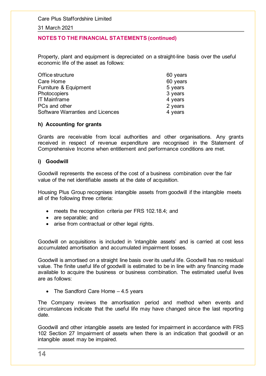### **NOTES TO THE FINANCIAL STATEMENTS (continued)**

Property, plant and equipment is depreciated on a straight-line basis over the useful economic life of the asset as follows:

| Office structure                 | 60 years |
|----------------------------------|----------|
| Care Home                        | 60 years |
| Furniture & Equipment            | 5 years  |
| Photocopiers                     | 3 years  |
| <b>IT Mainframe</b>              | 4 years  |
| PCs and other                    | 2 years  |
| Software Warranties and Licences | 4 years  |

### **h) Accounting for grants**

Grants are receivable from local authorities and other organisations. Any grants received in respect of revenue expenditure are recognised in the Statement of Comprehensive Income when entitlement and performance conditions are met.

### **i) Goodwill**

Goodwill represents the excess of the cost of a business combination over the fair value of the net identifiable assets at the date of acquisition.

Housing Plus Group recognises intangible assets from goodwill if the intangible meets all of the following three criteria:

- meets the recognition criteria per FRS 102.18.4; and
- are separable; and
- arise from contractual or other legal rights.

Goodwill on acquisitions is included in 'intangible assets' and is carried at cost less accumulated amortisation and accumulated impairment losses.

Goodwill is amortised on a straight line basis over its useful life. Goodwill has no residual value. The finite useful life of goodwill is estimated to be in line with any financing made available to acquire the business or business combination. The estimated useful lives are as follows:

• The Sandford Care Home – 4.5 years

The Company reviews the amortisation period and method when events and circumstances indicate that the useful life may have changed since the last reporting date.

Goodwill and other intangible assets are tested for impairment in accordance with FRS 102 Section 27 Impairment of assets when there is an indication that goodwill or an intangible asset may be impaired.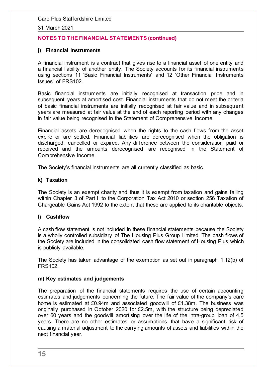### **NOTES TO THE FINANCIAL STATEMENTS (continued)**

### **j) Financial instruments**

A financial instrument is a contract that gives rise to a financial asset of one entity and a financial liability of another entity. The Society accounts for its financial instruments using sections 11 'Basic Financial Instruments' and 12 'Other Financial Instruments Issues' of FRS102.

Basic financial instruments are initially recognised at transaction price and in subsequent years at amortised cost. Financial instruments that do not meet the criteria of basic financial instruments are initially recognised at fair value and in subsequent years are measured at fair value at the end of each reporting period with any changes in fair value being recognised in the Statement of Comprehensive Income.

Financial assets are derecognised when the rights to the cash flows from the asset expire or are settled. Financial liabilities are derecognised when the obligation is discharged, cancelled or expired. Any difference between the consideration paid or received and the amounts derecognised are recognised in the Statement of Comprehensive Income.

The Society's financial instruments are all currently classified as basic.

### **k) Taxation**

The Society is an exempt charity and thus it is exempt from taxation and gains falling within Chapter 3 of Part II to the Corporation Tax Act 2010 or section 256 Taxation of Chargeable Gains Act 1992 to the extent that these are applied to its charitable objects.

### **l) Cashflow**

A cash flow statement is not included in these financial statements because the Society is a wholly controlled subsidiary of The Housing Plus Group Limited. The cash flows of the Society are included in the consolidated cash flow statement of Housing Plus which is publicly available.

The Society has taken advantage of the exemption as set out in paragraph 1.12(b) of FRS102.

### **m) Key estimates and judgements**

The preparation of the financial statements requires the use of certain accounting estimates and judgements concerning the future. The fair value of the company's care home is estimated at £0.94m and associated goodwill of £1.38m. The business was originally purchased in October 2020 for £2.5m, with the structure being depreciated over 60 years and the goodwill amortising over the life of the intra-group loan of 4.5 years. There are no other estimates or assumptions that have a significant risk of causing a material adjustment to the carrying amounts of assets and liabilities within the next financial year.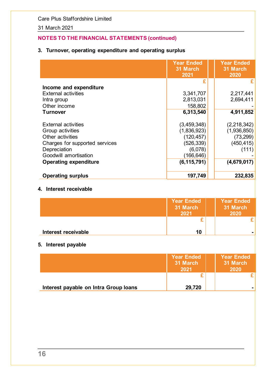31 March 2021

# **NOTES TO THE FINANCIAL STATEMENTS (continued)**

# **3. Turnover, operating expenditure and operating surplus**

|                                       | <b>Year Ended</b><br>31 March<br>2021 | <b>Year Ended</b><br>31 March<br>2020 |
|---------------------------------------|---------------------------------------|---------------------------------------|
|                                       | £                                     | £                                     |
| Income and expenditure                |                                       |                                       |
| <b>External activities</b>            | 3,341,707                             | 2,217,441                             |
| Intra group<br>Other income           | 2,813,031                             | 2,694,411                             |
| <b>Turnover</b>                       | 158,802<br>6,313,540                  | 4,911,852                             |
|                                       |                                       |                                       |
| <b>External activities</b>            | (3,459,348)                           | (2,218,342)                           |
| Group activities                      | (1,836,923)                           | (1,936,850)                           |
| Other activities                      | (120, 457)                            | (73, 299)                             |
| Charges for supported services        | (526, 339)                            | (450, 415)                            |
| Depreciation                          | (6,078)                               | (111)                                 |
| Goodwill amortisation                 | (166, 646)                            |                                       |
| <b>Operating expenditure</b>          | (6, 115, 791)                         | (4,679,017)                           |
| <b>Operating surplus</b>              | 197,749                               | 232,835                               |
| 4. Interest receivable                |                                       |                                       |
|                                       | <b>Year Ended</b>                     | <b>Year Ended</b>                     |
|                                       | 31 March                              | 31 March                              |
|                                       | 2021                                  | 2020                                  |
|                                       | £                                     | £                                     |
| Interest receivable                   | 10                                    |                                       |
| 5. Interest payable                   |                                       |                                       |
|                                       | <b>Year Ended</b>                     | <b>Year Ended</b>                     |
|                                       | 31 March                              | 31 March                              |
|                                       | 2021                                  | 2020                                  |
|                                       | £                                     | £                                     |
| Interest payable on Intra Group loans | 29,720                                |                                       |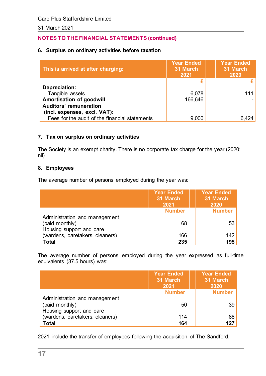31 March 2021

### **NOTES TO THE FINANCIAL STATEMENTS (continued)**

### **6. Surplus on ordinary activities before taxation**

| This is arrived at after charging:             | <b>Year Ended</b><br>31 March<br>2021 | <b>Year Ended</b><br>31 March<br>2020 |
|------------------------------------------------|---------------------------------------|---------------------------------------|
|                                                |                                       |                                       |
| Depreciation:                                  |                                       |                                       |
| Tangible assets                                | 6,078                                 | 111                                   |
| Amortisation of goodwill                       | 166,646                               |                                       |
| <b>Auditors' remuneration</b>                  |                                       |                                       |
| (incl. expenses, excl. VAT):                   |                                       |                                       |
| Fees for the audit of the financial statements | 9.000                                 | 6.424                                 |

### **7. Tax on surplus on ordinary activities**

The Society is an exempt charity. There is no corporate tax charge for the year (2020: nil)

### **8. Employees**

The average number of persons employed during the year was:

|                                                                             | <b>Year Ended</b><br>31 March<br>2021 | <b>Year Ended</b><br>31 March<br>2020 |
|-----------------------------------------------------------------------------|---------------------------------------|---------------------------------------|
|                                                                             | <b>Number</b>                         | <b>Number</b>                         |
| Administration and management<br>(paid monthly)<br>Housing support and care | 68                                    | 53                                    |
| (wardens, caretakers, cleaners)                                             | 166                                   | 142 <sub>1</sub>                      |
| <b>Total</b>                                                                | 235                                   | 195                                   |

The average number of persons employed during the year expressed as full-time equivalents (37.5 hours) was:

|                                                                             | <b>Year Ended</b><br>31 March<br>2021 | <b>Year Ended</b><br>31 March<br>2020 |
|-----------------------------------------------------------------------------|---------------------------------------|---------------------------------------|
|                                                                             | <b>Number</b>                         | <b>Number</b>                         |
| Administration and management<br>(paid monthly)<br>Housing support and care | 50                                    | 39                                    |
| (wardens, caretakers, cleaners)                                             | 114                                   | 88                                    |
| <b>Total</b>                                                                | 164                                   |                                       |

2021 include the transfer of employees following the acquisition of The Sandford.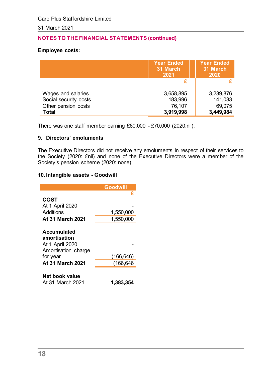# **NOTES TO THE FINANCIAL STATEMENTS (continued)**

### **Employee costs:**

|                       | <b>Year Ended</b><br>31 March<br>2021 | <b>Year Ended</b><br>31 March<br>2020 |
|-----------------------|---------------------------------------|---------------------------------------|
|                       | £                                     |                                       |
| Wages and salaries    | 3,658,895                             | 3,239,876                             |
| Social security costs | 183,996                               | 141,033                               |
| Other pension costs   | 76,107                                | 69,075                                |
| <b>T</b> otal         | 3,919,998                             | 3,449,984                             |

There was one staff member earning £60,000 - £70,000 (2020:nil).

### **9. Directors' emoluments**

The Executive Directors did not receive any emoluments in respect of their services to the Society (2020: £nil) and none of the Executive Directors were a member of the Society's pension scheme (2020: none).

### **10. Intangible assets - Goodwill**

|                         | <b>Goodwill</b> |
|-------------------------|-----------------|
|                         | £               |
| <b>COST</b>             |                 |
| At 1 April 2020         |                 |
| Additions               | 1,550,000       |
| <b>At 31 March 2021</b> | 1,550,000       |
|                         |                 |
| <b>Accumulated</b>      |                 |
| amortisation            |                 |
| At 1 April 2020         |                 |
| Amortisation charge     |                 |
| for year                | (166, 646)      |
| <b>At 31 March 2021</b> | (166, 646)      |
|                         |                 |
| Net book value          |                 |
| At 31 March 2021        | 1,383,354       |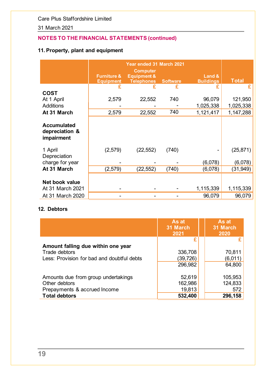31 March 2021

# **NOTES TO THE FINANCIAL STATEMENTS (continued)**

# **11. Property, plant and equipment**

| <b>Furniture &amp;</b> | <b>Computer</b><br><b>Equipment &amp;</b> |                   | Land &          | <b>Total</b>                                                                     |
|------------------------|-------------------------------------------|-------------------|-----------------|----------------------------------------------------------------------------------|
|                        |                                           |                   | £               | £                                                                                |
| 2,579                  | 22,552                                    | 740               | 96,079          | 121,950<br>1,025,338                                                             |
| 2,579                  | 22,552                                    | 740               | 1,121,417       | 1,147,288                                                                        |
|                        |                                           |                   |                 |                                                                                  |
| (2,579)                | (22, 552)                                 | (740)             |                 | (25, 871)                                                                        |
|                        |                                           |                   | (6,078)         | (6,078)                                                                          |
| (2,579)                | (22, 552)                                 | (740)             | (6,078)         | (31, 949)                                                                        |
|                        |                                           |                   |                 |                                                                                  |
|                        |                                           |                   |                 | 1,115,339<br>96,079                                                              |
|                        | <b>Equipment</b>                          | <b>Telephones</b> | <b>Software</b> | Year ended 31 March 2021<br><b>Buildings</b><br>1,025,338<br>1,115,339<br>96,079 |

### **12. Debtors**

|                                                                                                              | As at<br>31 March<br>2021              | As at<br>31 March<br>2020            |
|--------------------------------------------------------------------------------------------------------------|----------------------------------------|--------------------------------------|
| Amount falling due within one year<br>Trade debtors<br>Less: Provision for bad and doubtful debts            | £<br>336,708<br>(39, 726)<br>296,982   | 70,811<br>(6,011)<br>64,800          |
| Amounts due from group undertakings<br>Other debtors<br>Prepayments & accrued Income<br><b>Total debtors</b> | 52,619<br>162,986<br>19,813<br>532,400 | 105,953<br>124,833<br>572<br>296,158 |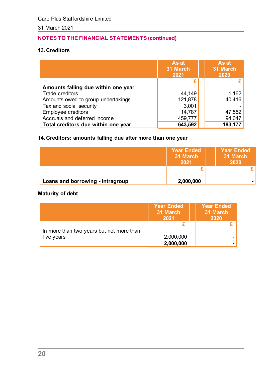# **NOTES TO THE FINANCIAL STATEMENTS (continued)**

# **13. Creditors**

|                                     | As at<br>31 March<br>2021 | As at<br>31 March<br>2020 |
|-------------------------------------|---------------------------|---------------------------|
|                                     |                           |                           |
| Amounts falling due within one year |                           |                           |
| <b>Trade creditors</b>              | 44,149                    | 1,162                     |
| Amounts owed to group undertakings  | 121,878                   | 40,416                    |
| Tax and social security             | 3,001                     |                           |
| Employee creditors                  | 14,787                    | 47,552                    |
| Accruals and deferred income        | 459,777                   | 94,047                    |
| Total creditors due within one year | 643,592                   | 183,177                   |

# **14. Creditors: amounts falling due after more than one year**

|                                  | <b>Year Ended</b><br>31 March<br>2021 | <b>Year Ended</b><br>31 March<br>2020 |
|----------------------------------|---------------------------------------|---------------------------------------|
|                                  |                                       |                                       |
| Loans and borrowing - intragroup | 2,000,000                             |                                       |

# **Maturity of debt**

|                                          | <b>Year Ended</b><br>31 March<br>2021 | <b>Year Ended</b><br>31 March<br>2020 |
|------------------------------------------|---------------------------------------|---------------------------------------|
| In more than two years but not more than |                                       |                                       |
| five years                               | 2,000,000                             |                                       |
|                                          | 2,000,000                             |                                       |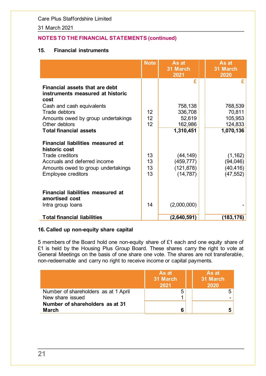31 March 2021

# **NOTES TO THE FINANCIAL STATEMENTS (continued)**

### **15. Financial instruments**

|                                                                            | <b>Note</b>     | As at<br>31 March<br>2021 | As at<br>31 March<br>2020 |
|----------------------------------------------------------------------------|-----------------|---------------------------|---------------------------|
| Financial assets that are debt<br>instruments measured at historic<br>cost |                 | £                         | £                         |
| Cash and cash equivalents                                                  |                 | 758,138                   | 768,539                   |
| Trade debtors                                                              | 12 <sup>2</sup> | 336,708                   | 70,811                    |
| Amounts owed by group undertakings                                         | 12              | 52,619                    | 105,953                   |
| Other debtors                                                              | 12 <sup>2</sup> | 162,986                   | 124,833                   |
| <b>Total financial assets</b>                                              |                 | 1,310,451                 | 1,070,136                 |
| <b>Financial liabilities measured at</b><br>historic cost                  |                 |                           |                           |
| Trade creditors                                                            | 13              | (44, 149)                 | (1, 162)                  |
| Accruals and deferred income                                               | 13              | (459, 777)                | (94, 046)                 |
| Amounts owed to group undertakings                                         | 13              | (121, 878)                | (40, 416)                 |
| Employee creditors                                                         | 13              | (14, 787)                 | (47, 552)                 |
| <b>Financial liabilities measured at</b><br>amortised cost                 | 14              | (2,000,000)               |                           |
| Intra group loans                                                          |                 |                           |                           |
| <b>Total financial liabilities</b>                                         |                 | (2,640,591)               | (183, 176)                |

### **16. Called up non-equity share capital**

5 members of the Board hold one non-equity share of £1 each and one equity share of £1 is held by the Housing Plus Group Board. These shares carry the right to vote at General Meetings on the basis of one share one vote. The shares are not transferable, non-redeemable and carry no right to receive income or capital payments.

|                                                          | As at<br>31 March<br>2021 | As at<br>31 March<br>2020 |
|----------------------------------------------------------|---------------------------|---------------------------|
| Number of shareholders as at 1 April<br>New share issued |                           |                           |
| Number of shareholders as at 31                          |                           |                           |
| <b>March</b>                                             |                           |                           |